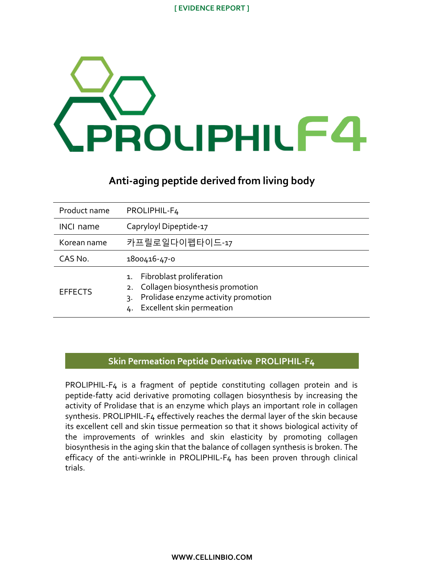#### **[ EVIDENCE REPORT ]**



# **Anti-aging peptide derived from living body**

| Product name     | PROLIPHIL-F4                                                                                                                                   |
|------------------|------------------------------------------------------------------------------------------------------------------------------------------------|
| <b>INCL name</b> | Capryloyl Dipeptide-17                                                                                                                         |
| Korean name      | 카프릴로일다이펩타이드-17                                                                                                                                 |
| CAS No.          | 1800416-47-0                                                                                                                                   |
| <b>EFFECTS</b>   | 1. Fibroblast proliferation<br>2. Collagen biosynthesis promotion<br>Prolidase enzyme activity promotion<br>3.<br>4. Excellent skin permeation |

# **Skin Permeation Peptide Derivative PROLIPHIL-F4**

PROLIPHIL-F4 is a fragment of peptide constituting collagen protein and is peptide-fatty acid derivative promoting collagen biosynthesis by increasing the activity of Prolidase that is an enzyme which plays an important role in collagen synthesis. PROLIPHIL-F4 effectively reaches the dermal layer of the skin because its excellent cell and skin tissue permeation so that it shows biological activity of the improvements of wrinkles and skin elasticity by promoting collagen biosynthesis in the aging skin that the balance of collagen synthesis is broken. The efficacy of the anti-wrinkle in PROLIPHIL-F4 has been proven through clinical trials.

**WWW.CELLINBIO.COM**